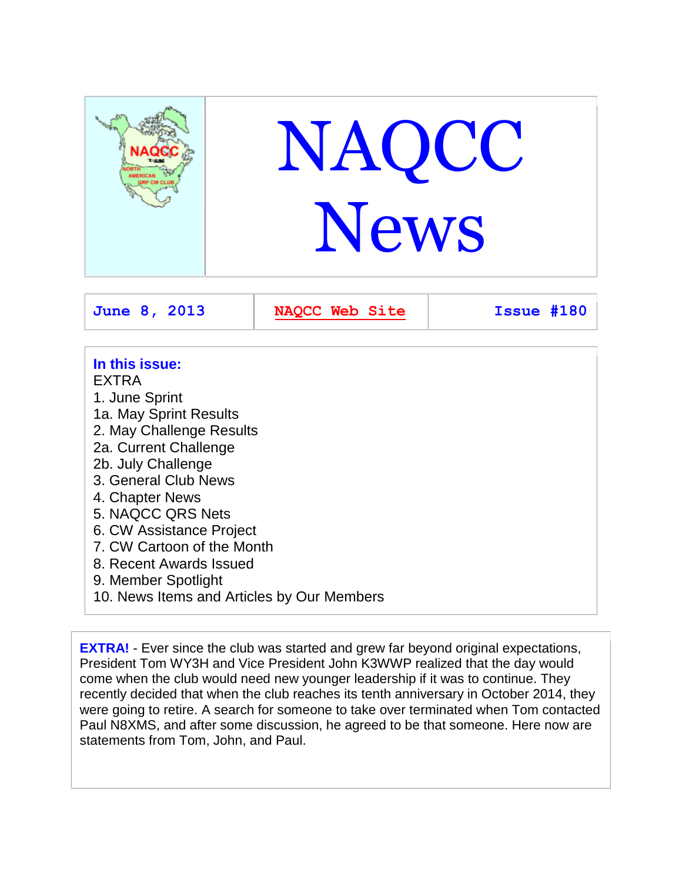

# **In this issue:**

EXTRA

- 1. June Sprint 1a. May Sprint Results 2. May Challenge Results 2a. Current Challenge 2b. July Challenge 3. General Club News 4. Chapter News
- 5. NAQCC QRS Nets
- 6. CW Assistance Project
- 7. CW Cartoon of the Month
- 8. Recent Awards Issued
- 9. Member Spotlight
- 10. News Items and Articles by Our Members

**EXTRA!** - Ever since the club was started and grew far beyond original expectations, President Tom WY3H and Vice President John K3WWP realized that the day would come when the club would need new younger leadership if it was to continue. They recently decided that when the club reaches its tenth anniversary in October 2014, they were going to retire. A search for someone to take over terminated when Tom contacted Paul N8XMS, and after some discussion, he agreed to be that someone. Here now are statements from Tom, John, and Paul.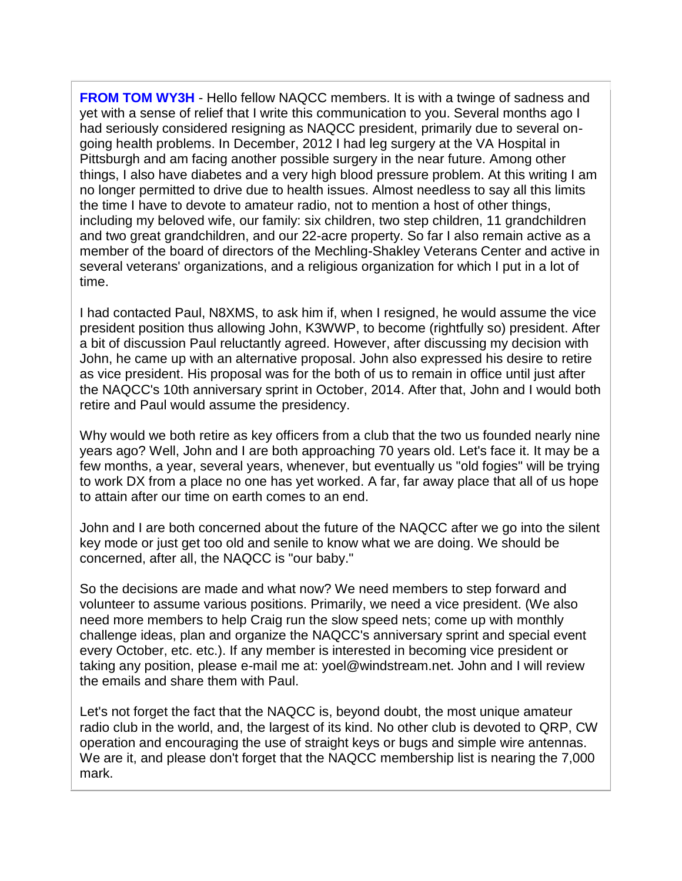**FROM TOM WY3H** - Hello fellow NAQCC members. It is with a twinge of sadness and yet with a sense of relief that I write this communication to you. Several months ago I had seriously considered resigning as NAQCC president, primarily due to several ongoing health problems. In December, 2012 I had leg surgery at the VA Hospital in Pittsburgh and am facing another possible surgery in the near future. Among other things, I also have diabetes and a very high blood pressure problem. At this writing I am no longer permitted to drive due to health issues. Almost needless to say all this limits the time I have to devote to amateur radio, not to mention a host of other things, including my beloved wife, our family: six children, two step children, 11 grandchildren and two great grandchildren, and our 22-acre property. So far I also remain active as a member of the board of directors of the Mechling-Shakley Veterans Center and active in several veterans' organizations, and a religious organization for which I put in a lot of time.

I had contacted Paul, N8XMS, to ask him if, when I resigned, he would assume the vice president position thus allowing John, K3WWP, to become (rightfully so) president. After a bit of discussion Paul reluctantly agreed. However, after discussing my decision with John, he came up with an alternative proposal. John also expressed his desire to retire as vice president. His proposal was for the both of us to remain in office until just after the NAQCC's 10th anniversary sprint in October, 2014. After that, John and I would both retire and Paul would assume the presidency.

Why would we both retire as key officers from a club that the two us founded nearly nine years ago? Well, John and I are both approaching 70 years old. Let's face it. It may be a few months, a year, several years, whenever, but eventually us "old fogies" will be trying to work DX from a place no one has yet worked. A far, far away place that all of us hope to attain after our time on earth comes to an end.

John and I are both concerned about the future of the NAQCC after we go into the silent key mode or just get too old and senile to know what we are doing. We should be concerned, after all, the NAQCC is "our baby."

So the decisions are made and what now? We need members to step forward and volunteer to assume various positions. Primarily, we need a vice president. (We also need more members to help Craig run the slow speed nets; come up with monthly challenge ideas, plan and organize the NAQCC's anniversary sprint and special event every October, etc. etc.). If any member is interested in becoming vice president or taking any position, please e-mail me at: yoel@windstream.net. John and I will review the emails and share them with Paul.

Let's not forget the fact that the NAQCC is, beyond doubt, the most unique amateur radio club in the world, and, the largest of its kind. No other club is devoted to QRP, CW operation and encouraging the use of straight keys or bugs and simple wire antennas. We are it, and please don't forget that the NAQCC membership list is nearing the 7,000 mark.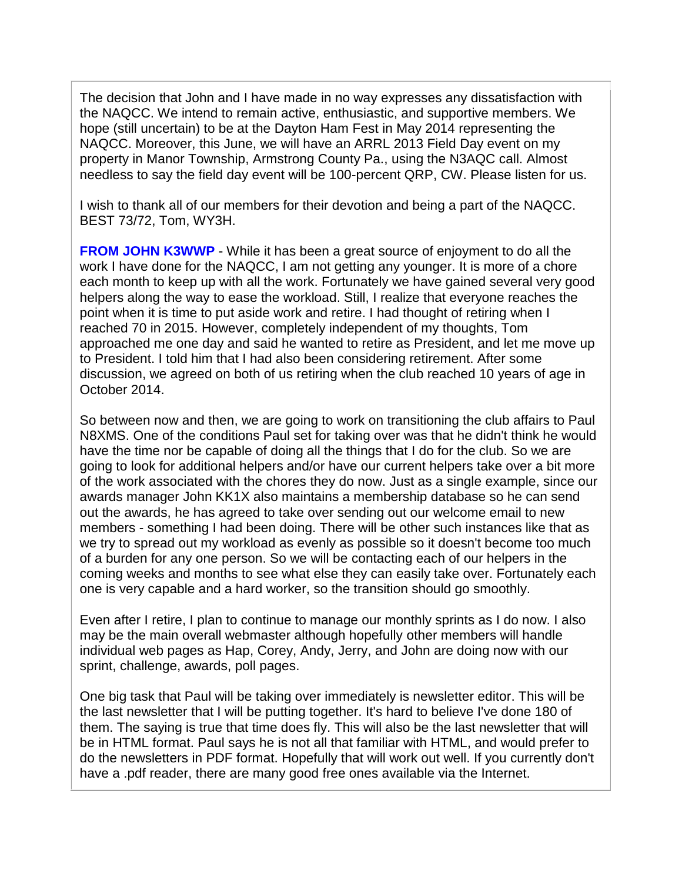The decision that John and I have made in no way expresses any dissatisfaction with the NAQCC. We intend to remain active, enthusiastic, and supportive members. We hope (still uncertain) to be at the Dayton Ham Fest in May 2014 representing the NAQCC. Moreover, this June, we will have an ARRL 2013 Field Day event on my property in Manor Township, Armstrong County Pa., using the N3AQC call. Almost needless to say the field day event will be 100-percent QRP, CW. Please listen for us.

I wish to thank all of our members for their devotion and being a part of the NAQCC. BEST 73/72, Tom, WY3H.

**FROM JOHN K3WWP** - While it has been a great source of enjoyment to do all the work I have done for the NAQCC, I am not getting any younger. It is more of a chore each month to keep up with all the work. Fortunately we have gained several very good helpers along the way to ease the workload. Still, I realize that everyone reaches the point when it is time to put aside work and retire. I had thought of retiring when I reached 70 in 2015. However, completely independent of my thoughts, Tom approached me one day and said he wanted to retire as President, and let me move up to President. I told him that I had also been considering retirement. After some discussion, we agreed on both of us retiring when the club reached 10 years of age in October 2014.

So between now and then, we are going to work on transitioning the club affairs to Paul N8XMS. One of the conditions Paul set for taking over was that he didn't think he would have the time nor be capable of doing all the things that I do for the club. So we are going to look for additional helpers and/or have our current helpers take over a bit more of the work associated with the chores they do now. Just as a single example, since our awards manager John KK1X also maintains a membership database so he can send out the awards, he has agreed to take over sending out our welcome email to new members - something I had been doing. There will be other such instances like that as we try to spread out my workload as evenly as possible so it doesn't become too much of a burden for any one person. So we will be contacting each of our helpers in the coming weeks and months to see what else they can easily take over. Fortunately each one is very capable and a hard worker, so the transition should go smoothly.

Even after I retire, I plan to continue to manage our monthly sprints as I do now. I also may be the main overall webmaster although hopefully other members will handle individual web pages as Hap, Corey, Andy, Jerry, and John are doing now with our sprint, challenge, awards, poll pages.

One big task that Paul will be taking over immediately is newsletter editor. This will be the last newsletter that I will be putting together. It's hard to believe I've done 180 of them. The saying is true that time does fly. This will also be the last newsletter that will be in HTML format. Paul says he is not all that familiar with HTML, and would prefer to do the newsletters in PDF format. Hopefully that will work out well. If you currently don't have a .pdf reader, there are many good free ones available via the Internet.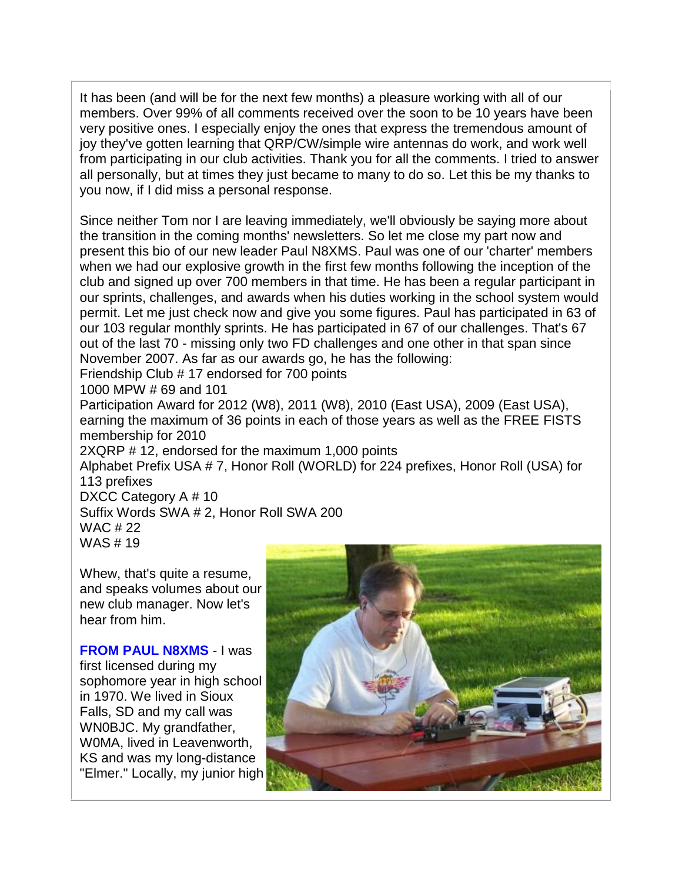It has been (and will be for the next few months) a pleasure working with all of our members. Over 99% of all comments received over the soon to be 10 years have been very positive ones. I especially enjoy the ones that express the tremendous amount of joy they've gotten learning that QRP/CW/simple wire antennas do work, and work well from participating in our club activities. Thank you for all the comments. I tried to answer all personally, but at times they just became to many to do so. Let this be my thanks to you now, if I did miss a personal response.

Since neither Tom nor I are leaving immediately, we'll obviously be saying more about the transition in the coming months' newsletters. So let me close my part now and present this bio of our new leader Paul N8XMS. Paul was one of our 'charter' members when we had our explosive growth in the first few months following the inception of the club and signed up over 700 members in that time. He has been a regular participant in our sprints, challenges, and awards when his duties working in the school system would permit. Let me just check now and give you some figures. Paul has participated in 63 of our 103 regular monthly sprints. He has participated in 67 of our challenges. That's 67 out of the last 70 - missing only two FD challenges and one other in that span since November 2007. As far as our awards go, he has the following:

Friendship Club # 17 endorsed for 700 points

1000 MPW # 69 and 101

Participation Award for 2012 (W8), 2011 (W8), 2010 (East USA), 2009 (East USA), earning the maximum of 36 points in each of those years as well as the FREE FISTS membership for 2010

2XQRP # 12, endorsed for the maximum 1,000 points

Alphabet Prefix USA # 7, Honor Roll (WORLD) for 224 prefixes, Honor Roll (USA) for 113 prefixes

DXCC Category A # 10

Suffix Words SWA # 2, Honor Roll SWA 200 WAC # 22 WAS # 19

Whew, that's quite a resume, and speaks volumes about our new club manager. Now let's hear from him.

**FROM PAUL N8XMS** - I was first licensed during my sophomore year in high school in 1970. We lived in Sioux Falls, SD and my call was WN0BJC. My grandfather, W0MA, lived in Leavenworth, KS and was my long-distance "Elmer." Locally, my junior high

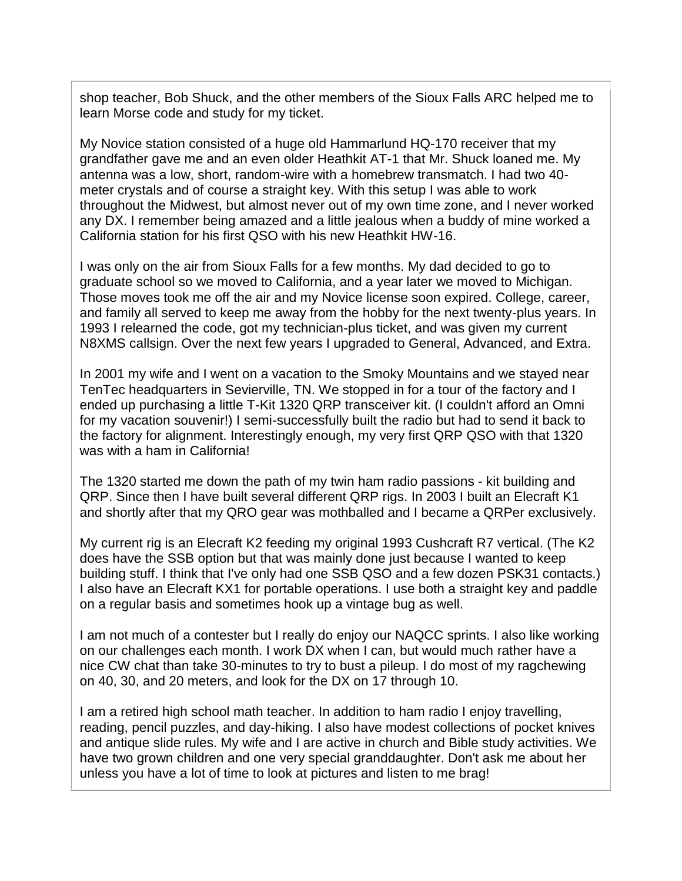shop teacher, Bob Shuck, and the other members of the Sioux Falls ARC helped me to learn Morse code and study for my ticket.

My Novice station consisted of a huge old Hammarlund HQ-170 receiver that my grandfather gave me and an even older Heathkit AT-1 that Mr. Shuck loaned me. My antenna was a low, short, random-wire with a homebrew transmatch. I had two 40 meter crystals and of course a straight key. With this setup I was able to work throughout the Midwest, but almost never out of my own time zone, and I never worked any DX. I remember being amazed and a little jealous when a buddy of mine worked a California station for his first QSO with his new Heathkit HW-16.

I was only on the air from Sioux Falls for a few months. My dad decided to go to graduate school so we moved to California, and a year later we moved to Michigan. Those moves took me off the air and my Novice license soon expired. College, career, and family all served to keep me away from the hobby for the next twenty-plus years. In 1993 I relearned the code, got my technician-plus ticket, and was given my current N8XMS callsign. Over the next few years I upgraded to General, Advanced, and Extra.

In 2001 my wife and I went on a vacation to the Smoky Mountains and we stayed near TenTec headquarters in Sevierville, TN. We stopped in for a tour of the factory and I ended up purchasing a little T-Kit 1320 QRP transceiver kit. (I couldn't afford an Omni for my vacation souvenir!) I semi-successfully built the radio but had to send it back to the factory for alignment. Interestingly enough, my very first QRP QSO with that 1320 was with a ham in California!

The 1320 started me down the path of my twin ham radio passions - kit building and QRP. Since then I have built several different QRP rigs. In 2003 I built an Elecraft K1 and shortly after that my QRO gear was mothballed and I became a QRPer exclusively.

My current rig is an Elecraft K2 feeding my original 1993 Cushcraft R7 vertical. (The K2 does have the SSB option but that was mainly done just because I wanted to keep building stuff. I think that I've only had one SSB QSO and a few dozen PSK31 contacts.) I also have an Elecraft KX1 for portable operations. I use both a straight key and paddle on a regular basis and sometimes hook up a vintage bug as well.

I am not much of a contester but I really do enjoy our NAQCC sprints. I also like working on our challenges each month. I work DX when I can, but would much rather have a nice CW chat than take 30-minutes to try to bust a pileup. I do most of my ragchewing on 40, 30, and 20 meters, and look for the DX on 17 through 10.

I am a retired high school math teacher. In addition to ham radio I enjoy travelling, reading, pencil puzzles, and day-hiking. I also have modest collections of pocket knives and antique slide rules. My wife and I are active in church and Bible study activities. We have two grown children and one very special granddaughter. Don't ask me about her unless you have a lot of time to look at pictures and listen to me brag!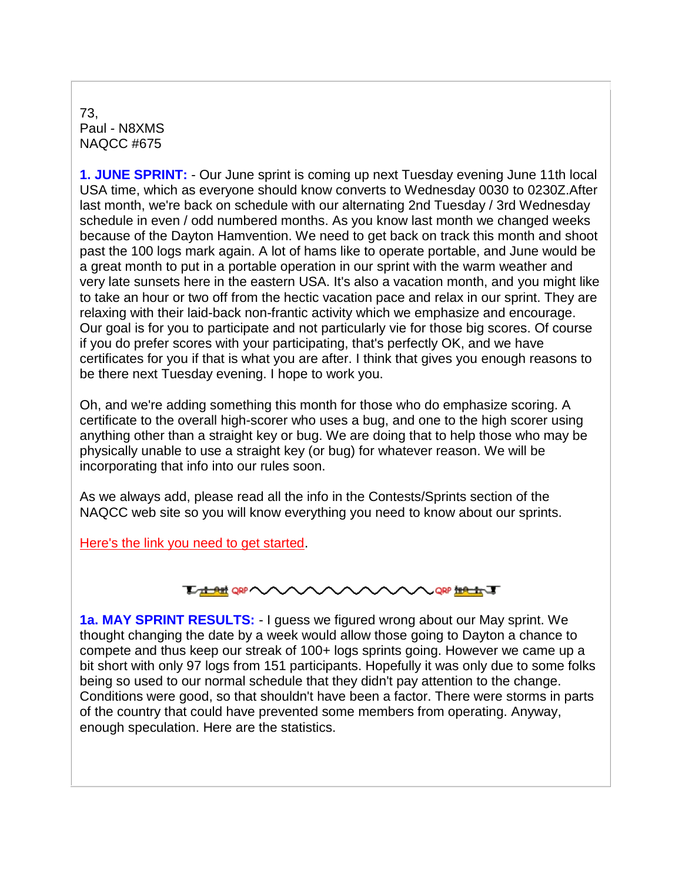73, Paul - N8XMS NAQCC #675

**1. JUNE SPRINT:** - Our June sprint is coming up next Tuesday evening June 11th local USA time, which as everyone should know converts to Wednesday 0030 to 0230Z.After last month, we're back on schedule with our alternating 2nd Tuesday / 3rd Wednesday schedule in even / odd numbered months. As you know last month we changed weeks because of the Dayton Hamvention. We need to get back on track this month and shoot past the 100 logs mark again. A lot of hams like to operate portable, and June would be a great month to put in a portable operation in our sprint with the warm weather and very late sunsets here in the eastern USA. It's also a vacation month, and you might like to take an hour or two off from the hectic vacation pace and relax in our sprint. They are relaxing with their laid-back non-frantic activity which we emphasize and encourage. Our goal is for you to participate and not particularly vie for those big scores. Of course if you do prefer scores with your participating, that's perfectly OK, and we have certificates for you if that is what you are after. I think that gives you enough reasons to be there next Tuesday evening. I hope to work you.

Oh, and we're adding something this month for those who do emphasize scoring. A certificate to the overall high-scorer who uses a bug, and one to the high scorer using anything other than a straight key or bug. We are doing that to help those who may be physically unable to use a straight key (or bug) for whatever reason. We will be incorporating that info into our rules soon.

As we always add, please read all the info in the Contests/Sprints section of the NAQCC web site so you will know everything you need to know about our sprints.

[Here's the link you need to get started.](http://naqcc.info/contests.html)



**1a. MAY SPRINT RESULTS:** - I guess we figured wrong about our May sprint. We thought changing the date by a week would allow those going to Dayton a chance to compete and thus keep our streak of 100+ logs sprints going. However we came up a bit short with only 97 logs from 151 participants. Hopefully it was only due to some folks being so used to our normal schedule that they didn't pay attention to the change. Conditions were good, so that shouldn't have been a factor. There were storms in parts of the country that could have prevented some members from operating. Anyway, enough speculation. Here are the statistics.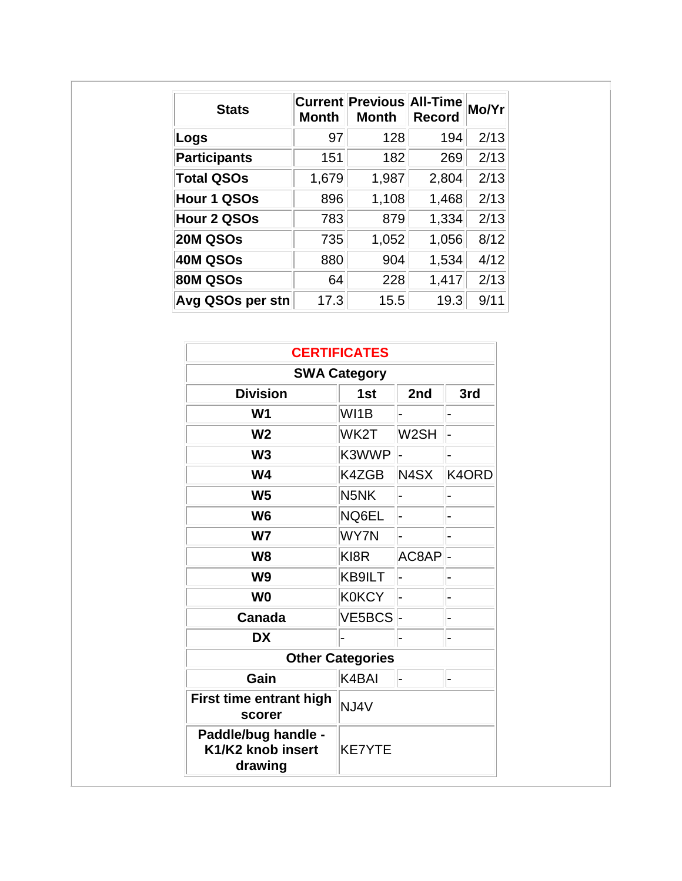| <b>Stats</b>        | <b>Month</b> | <b>Current Previous All-Time</b><br><b>Month</b> | <b>Record</b> | Mo/Yr |
|---------------------|--------------|--------------------------------------------------|---------------|-------|
| Logs                | 97           | 128                                              | 194           | 2/13  |
| <b>Participants</b> | 151          | 182                                              | 269           | 2/13  |
| <b>Total QSOs</b>   | 1,679        | 1,987                                            | 2,804         | 2/13  |
| Hour 1 QSOs         | 896          | 1,108                                            | 1,468         | 2/13  |
| Hour 2 QSOs         | 783          | 879                                              | 1,334         | 2/13  |
| 20M QSOs            | 735          | 1,052                                            | 1,056         | 8/12  |
| 40M QSOs            | 880          | 904                                              | 1,534         | 4/12  |
| 80M QSOs            | 64           | 228                                              | 1,417         | 2/13  |
| Avg QSOs per stn    | 17.3         | 15.5                                             | 19.3          | 9/11  |

| <b>CERTIFICATES</b>                                 |                   |                   |       |  |  |
|-----------------------------------------------------|-------------------|-------------------|-------|--|--|
| <b>SWA Category</b>                                 |                   |                   |       |  |  |
| <b>Division</b>                                     | 1 <sub>st</sub>   | 2nd               | 3rd   |  |  |
| W <sub>1</sub>                                      | WI1B              |                   |       |  |  |
| W <sub>2</sub>                                      | WK2T              | W <sub>2</sub> SH |       |  |  |
| W <sub>3</sub>                                      | K3WWP             |                   |       |  |  |
| W <sub>4</sub>                                      | K4ZGB             | N4SX              | K4ORD |  |  |
| W <sub>5</sub>                                      | N <sub>5</sub> NK |                   |       |  |  |
| W <sub>6</sub>                                      | NQ6EL             |                   |       |  |  |
| W <sub>7</sub>                                      | <b>WY7N</b>       |                   |       |  |  |
| W <sub>8</sub>                                      | KI8R              | AC8AP             |       |  |  |
| W <sub>9</sub>                                      | KB9ILT            |                   |       |  |  |
| W <sub>0</sub>                                      | <b>K0KCY</b>      |                   |       |  |  |
| VE5BCS -<br>Canada                                  |                   |                   |       |  |  |
| <b>DX</b>                                           |                   |                   |       |  |  |
| <b>Other Categories</b>                             |                   |                   |       |  |  |
| Gain                                                | K4BAI             | $\overline{a}$    |       |  |  |
| First time entrant high<br>scorer                   | NJ4V              |                   |       |  |  |
| Paddle/bug handle -<br>K1/K2 knob insert<br>drawing | <b>KE7YTE</b>     |                   |       |  |  |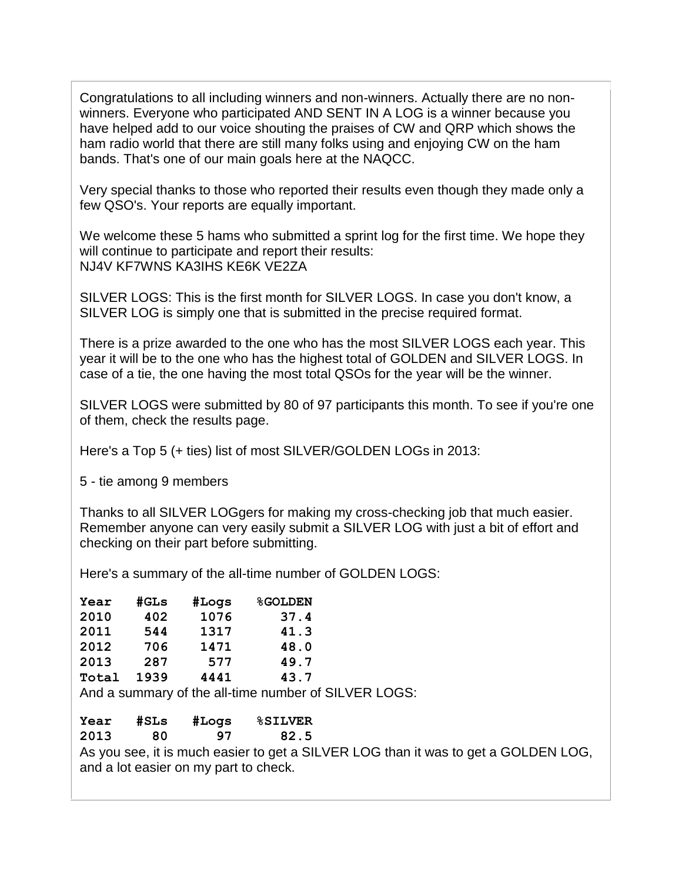Congratulations to all including winners and non-winners. Actually there are no nonwinners. Everyone who participated AND SENT IN A LOG is a winner because you have helped add to our voice shouting the praises of CW and QRP which shows the ham radio world that there are still many folks using and enjoying CW on the ham bands. That's one of our main goals here at the NAQCC.

Very special thanks to those who reported their results even though they made only a few QSO's. Your reports are equally important.

We welcome these 5 hams who submitted a sprint log for the first time. We hope they will continue to participate and report their results: NJ4V KF7WNS KA3IHS KE6K VE2ZA

SILVER LOGS: This is the first month for SILVER LOGS. In case you don't know, a SILVER LOG is simply one that is submitted in the precise required format.

There is a prize awarded to the one who has the most SILVER LOGS each year. This year it will be to the one who has the highest total of GOLDEN and SILVER LOGS. In case of a tie, the one having the most total QSOs for the year will be the winner.

SILVER LOGS were submitted by 80 of 97 participants this month. To see if you're one of them, check the results page.

Here's a Top 5 (+ ties) list of most SILVER/GOLDEN LOGs in 2013:

5 - tie among 9 members

Thanks to all SILVER LOGgers for making my cross-checking job that much easier. Remember anyone can very easily submit a SILVER LOG with just a bit of effort and checking on their part before submitting.

Here's a summary of the all-time number of GOLDEN LOGS:

| Year  | #GLs | #Logs | <b>%GOLDEN</b> |
|-------|------|-------|----------------|
| 2010  | 402  | 1076  | 37.4           |
| 2011  | 544  | 1317  | 41.3           |
| 2012  | 706  | 1471  | 48.0           |
| 2013  | 287  | 577   | 49.7           |
| Total | 1939 | 4441  | 43.7           |

And a summary of the all-time number of SILVER LOGS:

| Year | #SLs | #Logs                                 | <b>%SILVER</b> |                                                                                    |
|------|------|---------------------------------------|----------------|------------------------------------------------------------------------------------|
| 2013 | 80.  | 97                                    | 82.5           |                                                                                    |
|      |      | and a lot easier on my part to check. |                | As you see, it is much easier to get a SILVER LOG than it was to get a GOLDEN LOG, |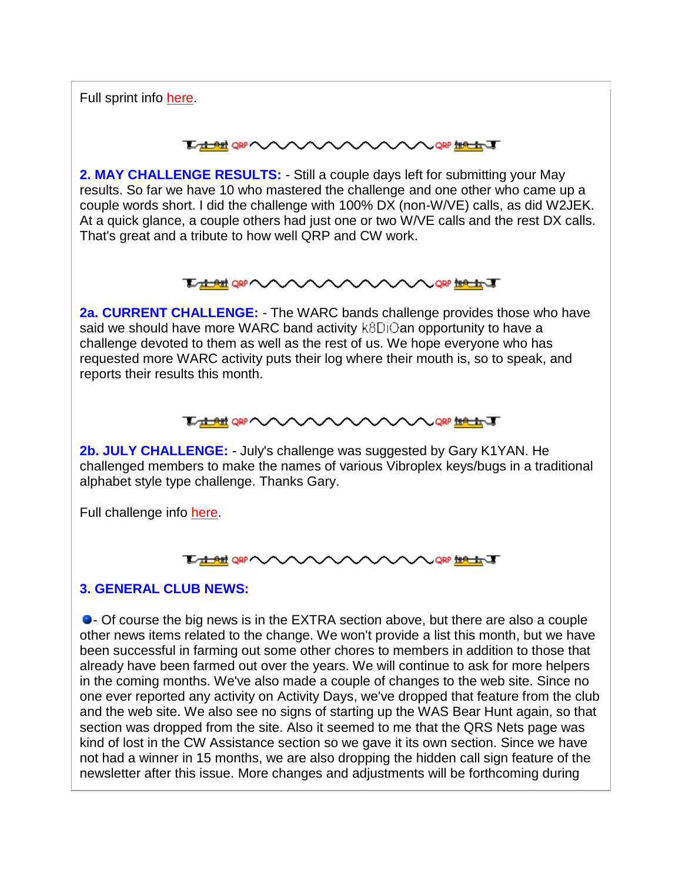Full sprint info [here.](http://naqcc.info/contests.html)

#### **TA ALL ORP NOW YOU WARE THE LINE OF STRAIGHT**

**2. MAY CHALLENGE RESULTS:** - Still a couple days left for submitting your May results. So far we have 10 who mastered the challenge and one other who came up a couple words short. I did the challenge with 100% DX (non-W/VE) calls, as did W2JEK. At a quick glance, a couple others had just one or two W/VE calls and the rest DX calls. That's great and a tribute to how well QRP and CW work.

#### **TAHEREAN AVAVAV AAAA** QRP ##<del>#</del>#

**2a. CURRENT CHALLENGE:** - The WARC bands challenge provides those who have said we should have more WARC band activity  $k8Di\odot$ an opportunity to have a challenge devoted to them as well as the rest of us. We hope everyone who has requested more WARC activity puts their log where their mouth is, so to speak, and reports their results this month.

# **TAME OR VAAAAAAAAAA** OR MAAT

**2b. JULY CHALLENGE:** - July's challenge was suggested by Gary K1YAN. He challenged members to make the names of various Vibroplex keys/bugs in a traditional alphabet style type challenge. Thanks Gary.

Full challenge info [here.](http://naqcc.info/challenges.html)



# **3. GENERAL CLUB NEWS:**

- Of course the big news is in the EXTRA section above, but there are also a couple other news items related to the change. We won't provide a list this month, but we have been successful in farming out some other chores to members in addition to those that already have been farmed out over the years. We will continue to ask for more helpers in the coming months. We've also made a couple of changes to the web site. Since no one ever reported any activity on Activity Days, we've dropped that feature from the club and the web site. We also see no signs of starting up the WAS Bear Hunt again, so that section was dropped from the site. Also it seemed to me that the QRS Nets page was kind of lost in the CW Assistance section so we gave it its own section. Since we have not had a winner in 15 months, we are also dropping the hidden call sign feature of the newsletter after this issue. More changes and adjustments will be forthcoming during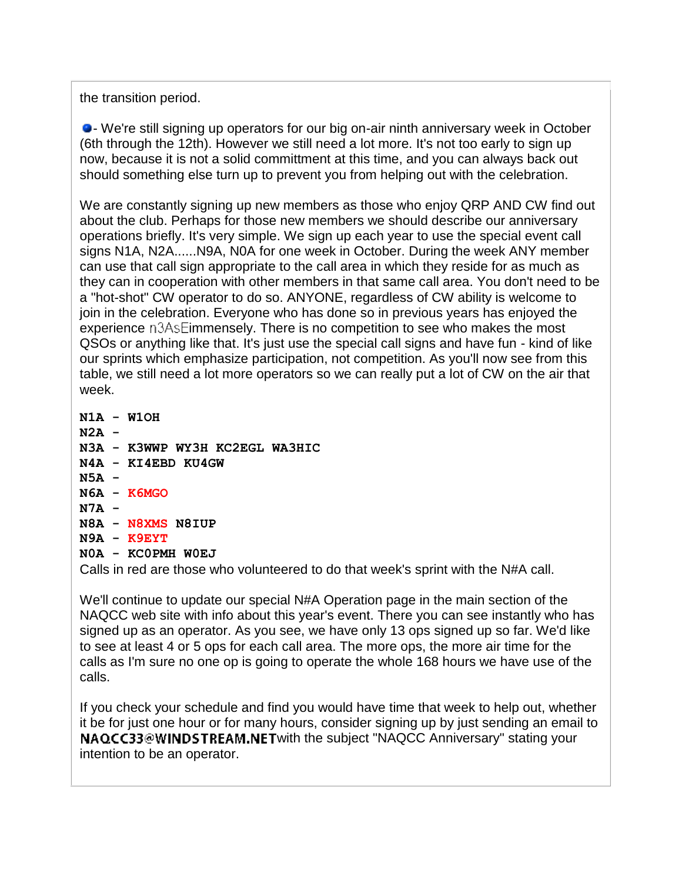the transition period.

- We're still signing up operators for our big on-air ninth anniversary week in October (6th through the 12th). However we still need a lot more. It's not too early to sign up now, because it is not a solid committment at this time, and you can always back out should something else turn up to prevent you from helping out with the celebration.

We are constantly signing up new members as those who enjoy QRP AND CW find out about the club. Perhaps for those new members we should describe our anniversary operations briefly. It's very simple. We sign up each year to use the special event call signs N1A, N2A......N9A, N0A for one week in October. During the week ANY member can use that call sign appropriate to the call area in which they reside for as much as they can in cooperation with other members in that same call area. You don't need to be a "hot-shot" CW operator to do so. ANYONE, regardless of CW ability is welcome to join in the celebration. Everyone who has done so in previous years has enjoyed the experience  $n3AsE$  immensely. There is no competition to see who makes the most QSOs or anything like that. It's just use the special call signs and have fun - kind of like our sprints which emphasize participation, not competition. As you'll now see from this table, we still need a lot more operators so we can really put a lot of CW on the air that week.

**N1A - W1OH N2A - N3A - K3WWP WY3H KC2EGL WA3HIC N4A - KI4EBD KU4GW N5A - N6A - K6MGO N7A - N8A - N8XMS N8IUP N9A - K9EYT N0A - KC0PMH W0EJ**

Calls in red are those who volunteered to do that week's sprint with the N#A call.

We'll continue to update our special N#A Operation page in the main section of the NAQCC web site with info about this year's event. There you can see instantly who has signed up as an operator. As you see, we have only 13 ops signed up so far. We'd like to see at least 4 or 5 ops for each call area. The more ops, the more air time for the calls as I'm sure no one op is going to operate the whole 168 hours we have use of the calls.

If you check your schedule and find you would have time that week to help out, whether it be for just one hour or for many hours, consider signing up by just sending an email to NAQCC33@WINDSTREAM.NETwith the subject "NAQCC Anniversary" stating your intention to be an operator.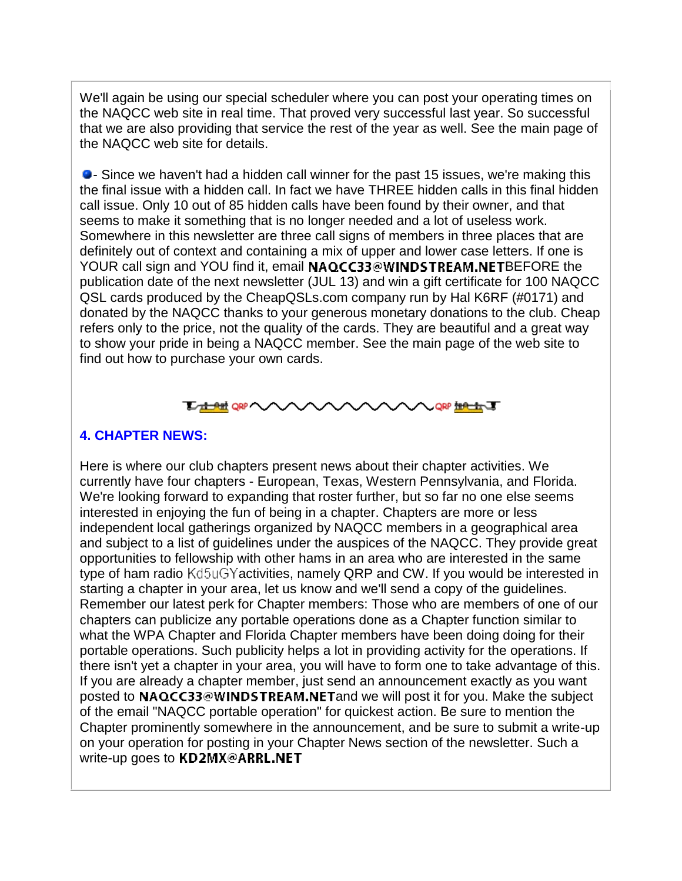We'll again be using our special scheduler where you can post your operating times on the NAQCC web site in real time. That proved very successful last year. So successful that we are also providing that service the rest of the year as well. See the main page of the NAQCC web site for details.

- Since we haven't had a hidden call winner for the past 15 issues, we're making this the final issue with a hidden call. In fact we have THREE hidden calls in this final hidden call issue. Only 10 out of 85 hidden calls have been found by their owner, and that seems to make it something that is no longer needed and a lot of useless work. Somewhere in this newsletter are three call signs of members in three places that are definitely out of context and containing a mix of upper and lower case letters. If one is YOUR call sign and YOU find it, email NAQCC33@WINDSTREAM.NETBEFORE the publication date of the next newsletter (JUL 13) and win a gift certificate for 100 NAQCC QSL cards produced by the CheapQSLs.com company run by Hal K6RF (#0171) and donated by the NAQCC thanks to your generous monetary donations to the club. Cheap refers only to the price, not the quality of the cards. They are beautiful and a great way to show your pride in being a NAQCC member. See the main page of the web site to find out how to purchase your own cards.



### **4. CHAPTER NEWS:**

Here is where our club chapters present news about their chapter activities. We currently have four chapters - European, Texas, Western Pennsylvania, and Florida. We're looking forward to expanding that roster further, but so far no one else seems interested in enjoying the fun of being in a chapter. Chapters are more or less independent local gatherings organized by NAQCC members in a geographical area and subject to a list of guidelines under the auspices of the NAQCC. They provide great opportunities to fellowship with other hams in an area who are interested in the same type of ham radio Kd5uGYactivities, namely QRP and CW. If you would be interested in starting a chapter in your area, let us know and we'll send a copy of the guidelines. Remember our latest perk for Chapter members: Those who are members of one of our chapters can publicize any portable operations done as a Chapter function similar to what the WPA Chapter and Florida Chapter members have been doing doing for their portable operations. Such publicity helps a lot in providing activity for the operations. If there isn't yet a chapter in your area, you will have to form one to take advantage of this. If you are already a chapter member, just send an announcement exactly as you want posted to NAQCC33@WINDSTREAM.NET and we will post it for you. Make the subject of the email "NAQCC portable operation" for quickest action. Be sure to mention the Chapter prominently somewhere in the announcement, and be sure to submit a write-up on your operation for posting in your Chapter News section of the newsletter. Such a write-up goes to KD2MX@ARRL.NET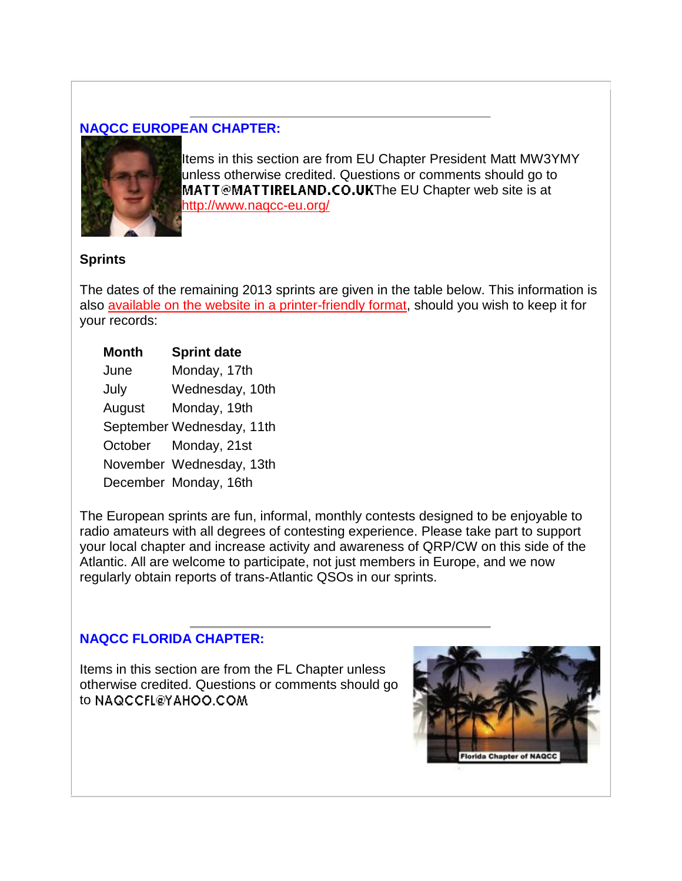# **NAQCC EUROPEAN CHAPTER:**



Items in this section are from EU Chapter President Matt MW3YMY unless otherwise credited. Questions or comments should go to MATT@MATTIRELAND.CO.UKThe EU Chapter web site is at <http://www.naqcc-eu.org/>

### **Sprints**

The dates of the remaining 2013 sprints are given in the table below. This information is also [available on the website in a printer-friendly format,](http://naqcc-eu.org/sprints/rules/2013_sprint_schedule.pdf) should you wish to keep it for your records:

# **Month Sprint date**

| June   | Monday, 17th              |
|--------|---------------------------|
| July   | Wednesday, 10th           |
| August | Monday, 19th              |
|        | September Wednesday, 11th |
|        | October Monday, 21st      |
|        | November Wednesday, 13th  |
|        | December Monday, 16th     |

The European sprints are fun, informal, monthly contests designed to be enjoyable to radio amateurs with all degrees of contesting experience. Please take part to support your local chapter and increase activity and awareness of QRP/CW on this side of the Atlantic. All are welcome to participate, not just members in Europe, and we now regularly obtain reports of trans-Atlantic QSOs in our sprints.

# **NAQCC FLORIDA CHAPTER:**

Items in this section are from the FL Chapter unless otherwise credited. Questions or comments should go to NAQCCFL@YAHOO.COM

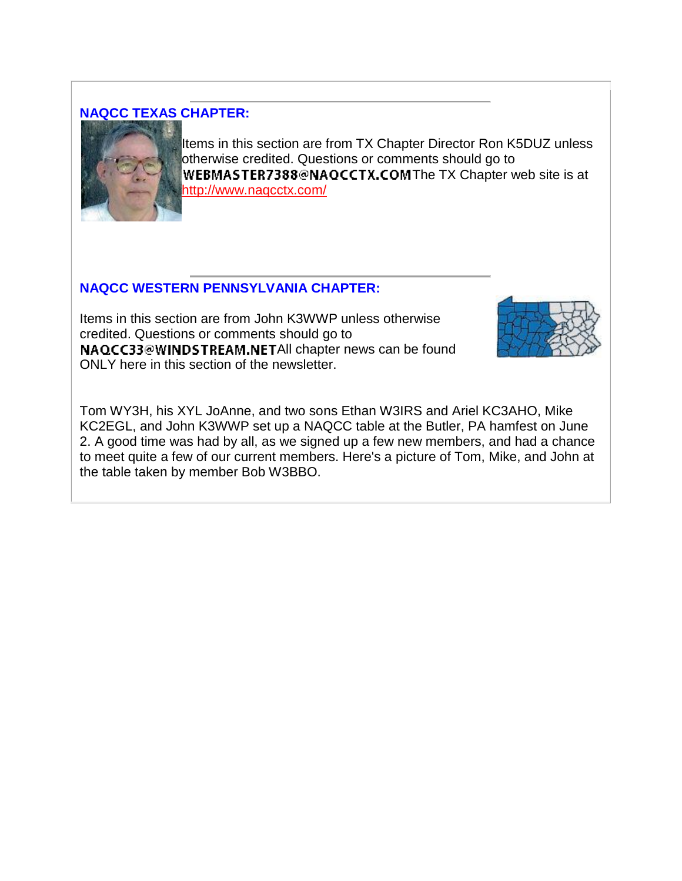# **NAQCC TEXAS CHAPTER:**



Items in this section are from TX Chapter Director Ron K5DUZ unless otherwise credited. Questions or comments should go to WEBMASTER7388@NAQCCTX.COMThe TX Chapter web site is at <http://www.naqcctx.com/>

# **NAQCC WESTERN PENNSYLVANIA CHAPTER:**

Items in this section are from John K3WWP unless otherwise credited. Questions or comments should go to NAQCC33@WINDSTREAM.NETAll chapter news can be found ONLY here in this section of the newsletter.



Tom WY3H, his XYL JoAnne, and two sons Ethan W3IRS and Ariel KC3AHO, Mike KC2EGL, and John K3WWP set up a NAQCC table at the Butler, PA hamfest on June 2. A good time was had by all, as we signed up a few new members, and had a chance to meet quite a few of our current members. Here's a picture of Tom, Mike, and John at the table taken by member Bob W3BBO.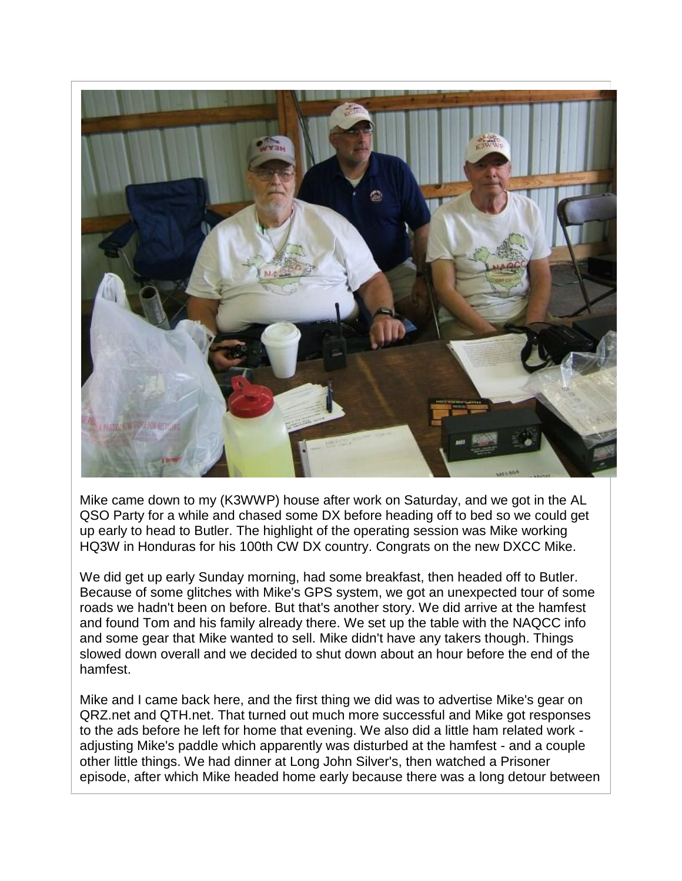

Mike came down to my (K3WWP) house after work on Saturday, and we got in the AL QSO Party for a while and chased some DX before heading off to bed so we could get up early to head to Butler. The highlight of the operating session was Mike working HQ3W in Honduras for his 100th CW DX country. Congrats on the new DXCC Mike.

We did get up early Sunday morning, had some breakfast, then headed off to Butler. Because of some glitches with Mike's GPS system, we got an unexpected tour of some roads we hadn't been on before. But that's another story. We did arrive at the hamfest and found Tom and his family already there. We set up the table with the NAQCC info and some gear that Mike wanted to sell. Mike didn't have any takers though. Things slowed down overall and we decided to shut down about an hour before the end of the hamfest.

Mike and I came back here, and the first thing we did was to advertise Mike's gear on QRZ.net and QTH.net. That turned out much more successful and Mike got responses to the ads before he left for home that evening. We also did a little ham related work adjusting Mike's paddle which apparently was disturbed at the hamfest - and a couple other little things. We had dinner at Long John Silver's, then watched a Prisoner episode, after which Mike headed home early because there was a long detour between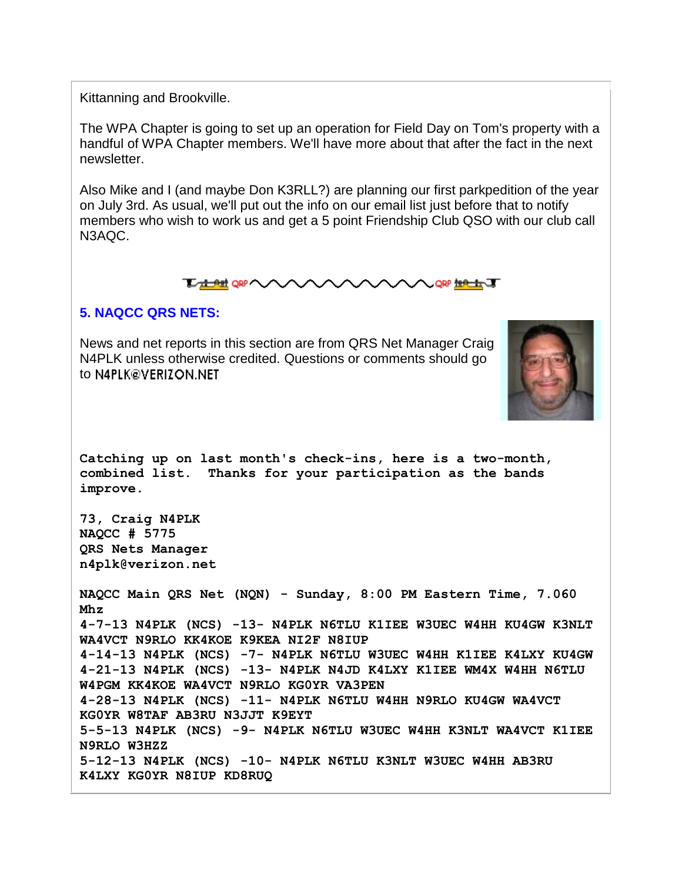Kittanning and Brookville.

The WPA Chapter is going to set up an operation for Field Day on Tom's property with a handful of WPA Chapter members. We'll have more about that after the fact in the next newsletter.

Also Mike and I (and maybe Don K3RLL?) are planning our first parkpedition of the year on July 3rd. As usual, we'll put out the info on our email list just before that to notify members who wish to work us and get a 5 point Friendship Club QSO with our club call N3AQC.



#### **5. NAQCC QRS NETS:**

News and net reports in this section are from QRS Net Manager Craig N4PLK unless otherwise credited. Questions or comments should go to N4PLK@VERIZON.NET



**Catching up on last month's check-ins, here is a two-month, combined list. Thanks for your participation as the bands improve.**

**73, Craig N4PLK NAQCC # 5775 QRS Nets Manager n4plk@verizon.net**

**NAQCC Main QRS Net (NQN) - Sunday, 8:00 PM Eastern Time, 7.060 Mhz 4-7-13 N4PLK (NCS) -13- N4PLK N6TLU K1IEE W3UEC W4HH KU4GW K3NLT WA4VCT N9RLO KK4KOE K9KEA NI2F N8IUP 4-14-13 N4PLK (NCS) -7- N4PLK N6TLU W3UEC W4HH K1IEE K4LXY KU4GW 4-21-13 N4PLK (NCS) -13- N4PLK N4JD K4LXY K1IEE WM4X W4HH N6TLU W4PGM KK4KOE WA4VCT N9RLO KG0YR VA3PEN 4-28-13 N4PLK (NCS) -11- N4PLK N6TLU W4HH N9RLO KU4GW WA4VCT KG0YR W8TAF AB3RU N3JJT K9EYT 5-5-13 N4PLK (NCS) -9- N4PLK N6TLU W3UEC W4HH K3NLT WA4VCT K1IEE N9RLO W3HZZ 5-12-13 N4PLK (NCS) -10- N4PLK N6TLU K3NLT W3UEC W4HH AB3RU K4LXY KG0YR N8IUP KD8RUQ**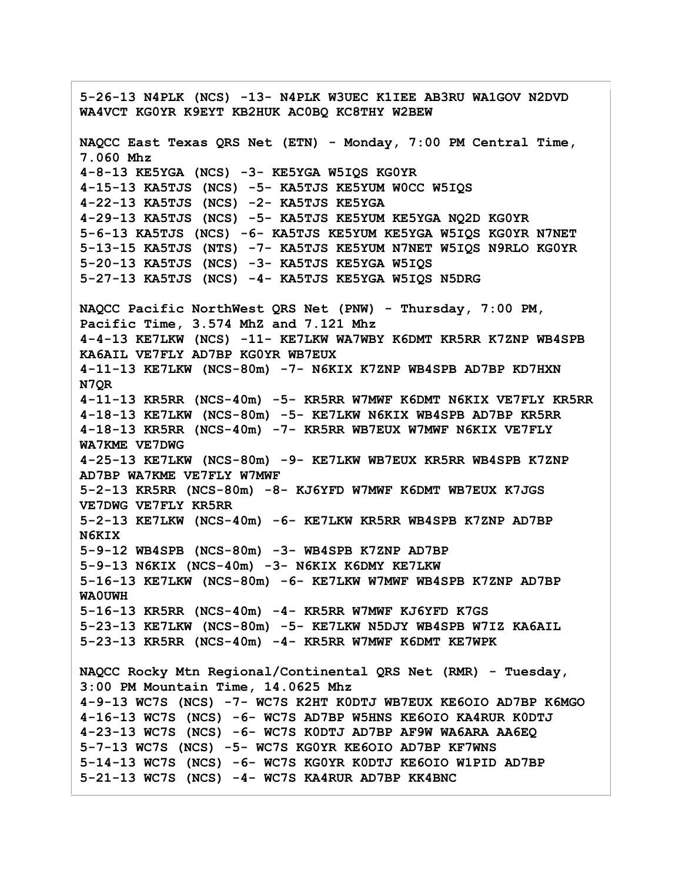**5-26-13 N4PLK (NCS) -13- N4PLK W3UEC K1IEE AB3RU WA1GOV N2DVD WA4VCT KG0YR K9EYT KB2HUK AC0BQ KC8THY W2BEW NAQCC East Texas QRS Net (ETN) - Monday, 7:00 PM Central Time, 7.060 Mhz 4-8-13 KE5YGA (NCS) -3- KE5YGA W5IQS KG0YR 4-15-13 KA5TJS (NCS) -5- KA5TJS KE5YUM W0CC W5IQS 4-22-13 KA5TJS (NCS) -2- KA5TJS KE5YGA 4-29-13 KA5TJS (NCS) -5- KA5TJS KE5YUM KE5YGA NQ2D KG0YR 5-6-13 KA5TJS (NCS) -6- KA5TJS KE5YUM KE5YGA W5IQS KG0YR N7NET 5-13-15 KA5TJS (NTS) -7- KA5TJS KE5YUM N7NET W5IQS N9RLO KG0YR 5-20-13 KA5TJS (NCS) -3- KA5TJS KE5YGA W5IQS 5-27-13 KA5TJS (NCS) -4- KA5TJS KE5YGA W5IQS N5DRG NAQCC Pacific NorthWest QRS Net (PNW) - Thursday, 7:00 PM, Pacific Time, 3.574 MhZ and 7.121 Mhz 4-4-13 KE7LKW (NCS) -11- KE7LKW WA7WBY K6DMT KR5RR K7ZNP WB4SPB KA6AIL VE7FLY AD7BP KG0YR WB7EUX 4-11-13 KE7LKW (NCS-80m) -7- N6KIX K7ZNP WB4SPB AD7BP KD7HXN N7QR 4-11-13 KR5RR (NCS-40m) -5- KR5RR W7MWF K6DMT N6KIX VE7FLY KR5RR 4-18-13 KE7LKW (NCS-80m) -5- KE7LKW N6KIX WB4SPB AD7BP KR5RR 4-18-13 KR5RR (NCS-40m) -7- KR5RR WB7EUX W7MWF N6KIX VE7FLY WA7KME VE7DWG 4-25-13 KE7LKW (NCS-80m) -9- KE7LKW WB7EUX KR5RR WB4SPB K7ZNP AD7BP WA7KME VE7FLY W7MWF 5-2-13 KR5RR (NCS-80m) -8- KJ6YFD W7MWF K6DMT WB7EUX K7JGS VE7DWG VE7FLY KR5RR 5-2-13 KE7LKW (NCS-40m) -6- KE7LKW KR5RR WB4SPB K7ZNP AD7BP N6KIX 5-9-12 WB4SPB (NCS-80m) -3- WB4SPB K7ZNP AD7BP 5-9-13 N6KIX (NCS-40m) -3- N6KIX K6DMY KE7LKW 5-16-13 KE7LKW (NCS-80m) -6- KE7LKW W7MWF WB4SPB K7ZNP AD7BP WA0UWH 5-16-13 KR5RR (NCS-40m) -4- KR5RR W7MWF KJ6YFD K7GS 5-23-13 KE7LKW (NCS-80m) -5- KE7LKW N5DJY WB4SPB W7IZ KA6AIL 5-23-13 KR5RR (NCS-40m) -4- KR5RR W7MWF K6DMT KE7WPK NAQCC Rocky Mtn Regional/Continental QRS Net (RMR) - Tuesday, 3:00 PM Mountain Time, 14.0625 Mhz 4-9-13 WC7S (NCS) -7- WC7S K2HT K0DTJ WB7EUX KE6OIO AD7BP K6MGO 4-16-13 WC7S (NCS) -6- WC7S AD7BP W5HNS KE6OIO KA4RUR K0DTJ 4-23-13 WC7S (NCS) -6- WC7S K0DTJ AD7BP AF9W WA6ARA AA6EQ 5-7-13 WC7S (NCS) -5- WC7S KG0YR KE6OIO AD7BP KF7WNS 5-14-13 WC7S (NCS) -6- WC7S KG0YR K0DTJ KE6OIO W1PID AD7BP 5-21-13 WC7S (NCS) -4- WC7S KA4RUR AD7BP KK4BNC**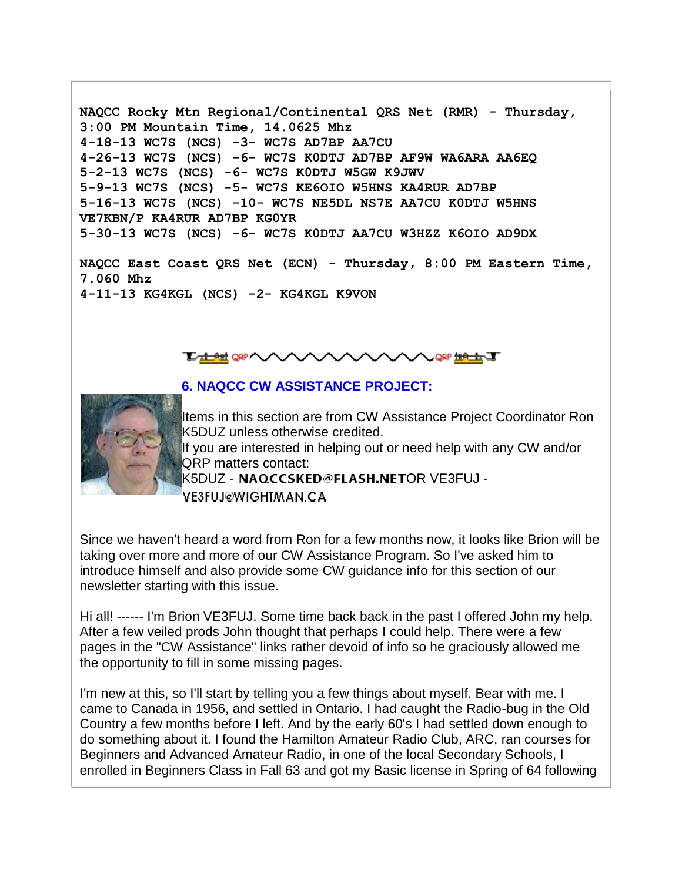**NAQCC Rocky Mtn Regional/Continental QRS Net (RMR) - Thursday, 3:00 PM Mountain Time, 14.0625 Mhz 4-18-13 WC7S (NCS) -3- WC7S AD7BP AA7CU 4-26-13 WC7S (NCS) -6- WC7S K0DTJ AD7BP AF9W WA6ARA AA6EQ 5-2-13 WC7S (NCS) -6- WC7S K0DTJ W5GW K9JWV 5-9-13 WC7S (NCS) -5- WC7S KE6OIO W5HNS KA4RUR AD7BP 5-16-13 WC7S (NCS) -10- WC7S NE5DL NS7E AA7CU K0DTJ W5HNS VE7KBN/P KA4RUR AD7BP KG0YR 5-30-13 WC7S (NCS) -6- WC7S K0DTJ AA7CU W3HZZ K6OIO AD9DX**

**NAQCC East Coast QRS Net (ECN) - Thursday, 8:00 PM Eastern Time, 7.060 Mhz 4-11-13 KG4KGL (NCS) -2- KG4KGL K9VON**



# **6. NAQCC CW ASSISTANCE PROJECT:**



Items in this section are from CW Assistance Project Coordinator Ron K5DUZ unless otherwise credited. If you are interested in helping out or need help with any CW and/or

QRP matters contact: K5DUZ - NAQCCSKED@FLASH.NETOR VE3FUJ -

**VE3FUJ@WIGHTMAN.CA** 

Since we haven't heard a word from Ron for a few months now, it looks like Brion will be taking over more and more of our CW Assistance Program. So I've asked him to introduce himself and also provide some CW guidance info for this section of our newsletter starting with this issue.

Hi all! ------ I'm Brion VE3FUJ. Some time back back in the past I offered John my help. After a few veiled prods John thought that perhaps I could help. There were a few pages in the "CW Assistance" links rather devoid of info so he graciously allowed me the opportunity to fill in some missing pages.

I'm new at this, so I'll start by telling you a few things about myself. Bear with me. I came to Canada in 1956, and settled in Ontario. I had caught the Radio-bug in the Old Country a few months before I left. And by the early 60's I had settled down enough to do something about it. I found the Hamilton Amateur Radio Club, ARC, ran courses for Beginners and Advanced Amateur Radio, in one of the local Secondary Schools, I enrolled in Beginners Class in Fall 63 and got my Basic license in Spring of 64 following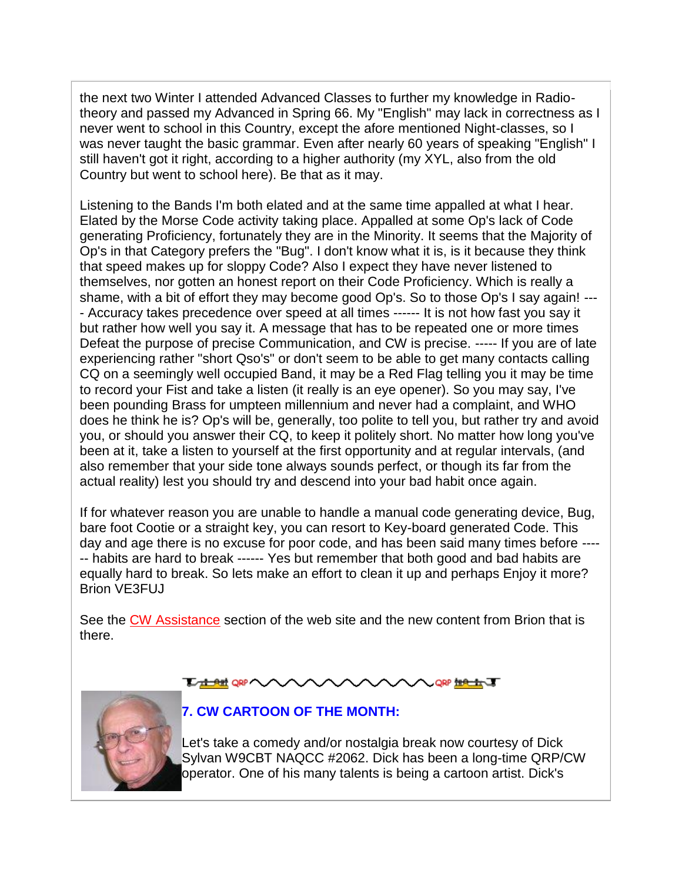the next two Winter I attended Advanced Classes to further my knowledge in Radiotheory and passed my Advanced in Spring 66. My "English" may lack in correctness as I never went to school in this Country, except the afore mentioned Night-classes, so I was never taught the basic grammar. Even after nearly 60 years of speaking "English" I still haven't got it right, according to a higher authority (my XYL, also from the old Country but went to school here). Be that as it may.

Listening to the Bands I'm both elated and at the same time appalled at what I hear. Elated by the Morse Code activity taking place. Appalled at some Op's lack of Code generating Proficiency, fortunately they are in the Minority. It seems that the Majority of Op's in that Category prefers the "Bug". I don't know what it is, is it because they think that speed makes up for sloppy Code? Also I expect they have never listened to themselves, nor gotten an honest report on their Code Proficiency. Which is really a shame, with a bit of effort they may become good Op's. So to those Op's I say again! --- - Accuracy takes precedence over speed at all times ------ It is not how fast you say it but rather how well you say it. A message that has to be repeated one or more times Defeat the purpose of precise Communication, and CW is precise. ----- If you are of late experiencing rather "short Qso's" or don't seem to be able to get many contacts calling CQ on a seemingly well occupied Band, it may be a Red Flag telling you it may be time to record your Fist and take a listen (it really is an eye opener). So you may say, I've been pounding Brass for umpteen millennium and never had a complaint, and WHO does he think he is? Op's will be, generally, too polite to tell you, but rather try and avoid you, or should you answer their CQ, to keep it politely short. No matter how long you've been at it, take a listen to yourself at the first opportunity and at regular intervals, (and also remember that your side tone always sounds perfect, or though its far from the actual reality) lest you should try and descend into your bad habit once again.

If for whatever reason you are unable to handle a manual code generating device, Bug, bare foot Cootie or a straight key, you can resort to Key-board generated Code. This day and age there is no excuse for poor code, and has been said many times before ---- -- habits are hard to break ------ Yes but remember that both good and bad habits are equally hard to break. So lets make an effort to clean it up and perhaps Enjoy it more? Brion VE3FUJ

See the [CW Assistance](http://naqcc.info/cw.html) section of the web site and the new content from Brion that is there.

**The det QRP** 



**7. CW CARTOON OF THE MONTH:**

Let's take a comedy and/or nostalgia break now courtesy of Dick Sylvan W9CBT NAQCC #2062. Dick has been a long-time QRP/CW operator. One of his many talents is being a cartoon artist. Dick's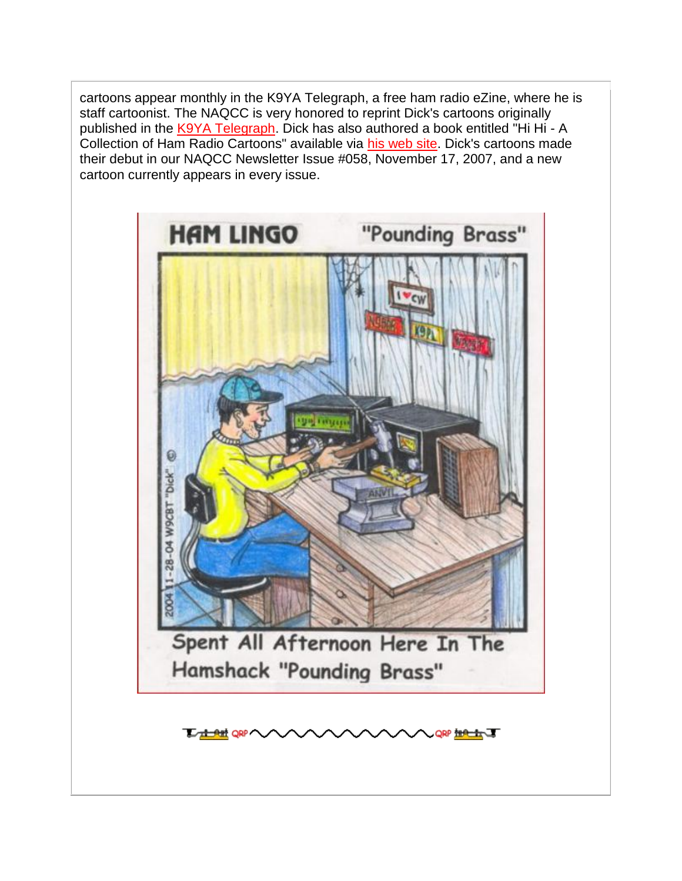cartoons appear monthly in the K9YA Telegraph, a free ham radio eZine, where he is staff cartoonist. The NAQCC is very honored to reprint Dick's cartoons originally published in the [K9YA Telegraph.](http://www.k9ya.org/) Dick has also authored a book entitled "Hi Hi - A Collection of Ham Radio Cartoons" available via [his web site.](http://www.k9ya.org/w9cbt/) Dick's cartoons made their debut in our NAQCC Newsletter Issue #058, November 17, 2007, and a new cartoon currently appears in every issue.



**The part QRP QRP THAT THE**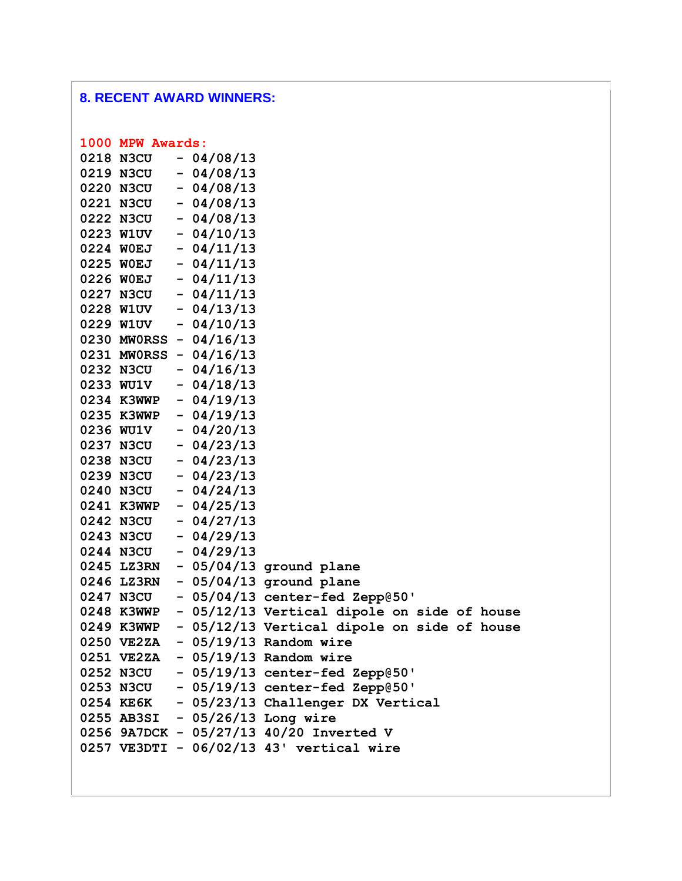# **8. RECENT AWARD WINNERS:**

| 1000 MPW Awards: |                         |                                             |
|------------------|-------------------------|---------------------------------------------|
| 0218 N3CU        | $-04/08/13$             |                                             |
| 0219 N3CU        | $-04/08/13$             |                                             |
| 0220 N3CU        | $-04/08/13$             |                                             |
| 0221 N3CU        | $-04/08/13$             |                                             |
| 0222 N3CU        | $-04/08/13$             |                                             |
| 0223 W1UV        | $-04/10/13$             |                                             |
| 0224 WOEJ        | $-04/11/13$             |                                             |
| 0225 WOEJ        | $-04/11/13$             |                                             |
| 0226 WOEJ        | $-04/11/13$             |                                             |
| 0227 N3CU        | $-04/11/13$             |                                             |
| 0228 W1UV        | $-04/13/13$             |                                             |
| 0229 W1UV        | $-04/10/13$             |                                             |
|                  | 0230 MW0RSS - 04/16/13  |                                             |
|                  | 0231 MW0RSS - 04/16/13  |                                             |
| 0232 N3CU        | $-04/16/13$             |                                             |
| 0233 WU1V        | $-04/18/13$             |                                             |
|                  | 0234 K3WWP - $04/19/13$ |                                             |
| 0235 K3WWP       | $-04/19/13$             |                                             |
| 0236 WU1V        | $-04/20/13$             |                                             |
| 0237 N3CU        | $-04/23/13$             |                                             |
| 0238 N3CU        | $-04/23/13$             |                                             |
| 0239 N3CU        | $-04/23/13$             |                                             |
| 0240 N3CU        | $-04/24/13$             |                                             |
| 0241 K3WWP       | $-04/25/13$             |                                             |
| 0242 N3CU        | $-04/27/13$             |                                             |
| 0243 N3CU        | $-04/29/13$             |                                             |
| 0244 N3CU        | $-04/29/13$             |                                             |
| 0245 LZ3RN       |                         | - 05/04/13 ground plane                     |
| 0246 LZ3RN       |                         | - 05/04/13 ground plane                     |
| 0247 N3CU        |                         | - 05/04/13 center-fed Zepp@50'              |
| 0248 K3WWP       |                         | - 05/12/13 Vertical dipole on side of house |
| 0249 K3WWP       |                         | - 05/12/13 Vertical dipole on side of house |
|                  |                         | 0250 VE2ZA - 05/19/13 Random wire           |
|                  |                         | $0251$ VE2ZA - $05/19/13$ Random wire       |
|                  |                         | 0252 N3CU - 05/19/13 center-fed Zepp@50'    |
|                  |                         | 0253 N3CU - 05/19/13 center-fed Zepp@50'    |
|                  |                         | 0254 KE6K - 05/23/13 Challenger DX Vertical |
|                  |                         | 0255 AB3SI - 05/26/13 Long wire             |
|                  |                         | 0256 9A7DCK - 05/27/13 40/20 Inverted V     |
|                  |                         | 0257 VE3DTI - 06/02/13 43' vertical wire    |
|                  |                         |                                             |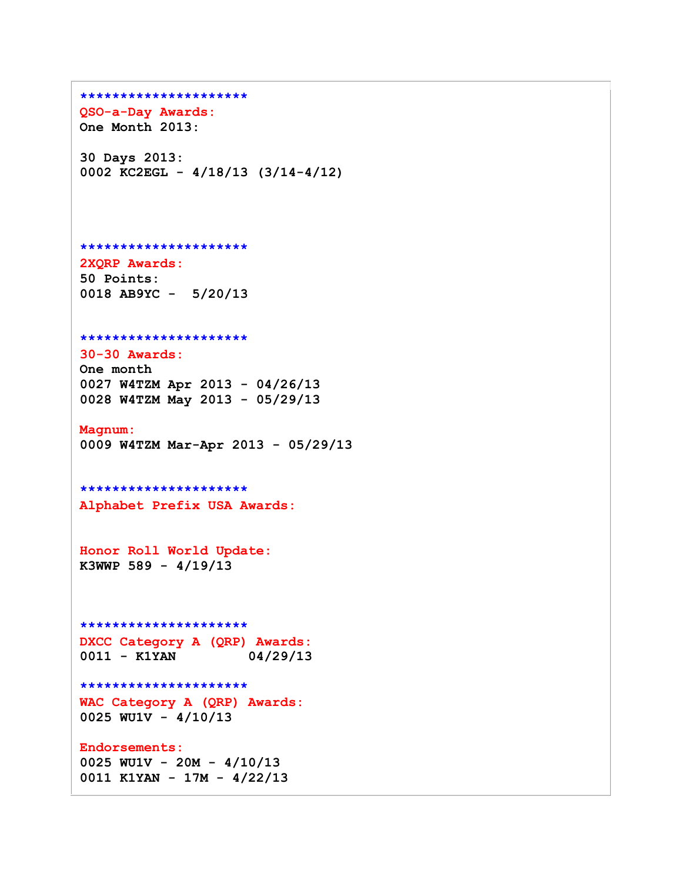```
*********************
QSO-a-Day Awards:
One Month 2013:
30 Days 2013:
0002 KC2EGL - 4/18/13 (3/14-4/12)
*********************
2XQRP Awards:
50 Points:
0018 AB9YC - 5/20/13
*********************
30-30 Awards:
One month
0027 W4TZM Apr 2013 - 04/26/13
0028 W4TZM May 2013 - 05/29/13
Magnum:
0009 W4TZM Mar-Apr 2013 - 05/29/13
*********************
Alphabet Prefix USA Awards:
Honor Roll World Update:
K3WWP 589 - 4/19/13
*********************
DXCC Category A (QRP) Awards:
0011 - K1YAN 04/29/13
*********************
WAC Category A (QRP) Awards:
0025 WU1V - 4/10/13
Endorsements:
0025 WU1V - 20M - 4/10/13
0011 K1YAN - 17M - 4/22/13
```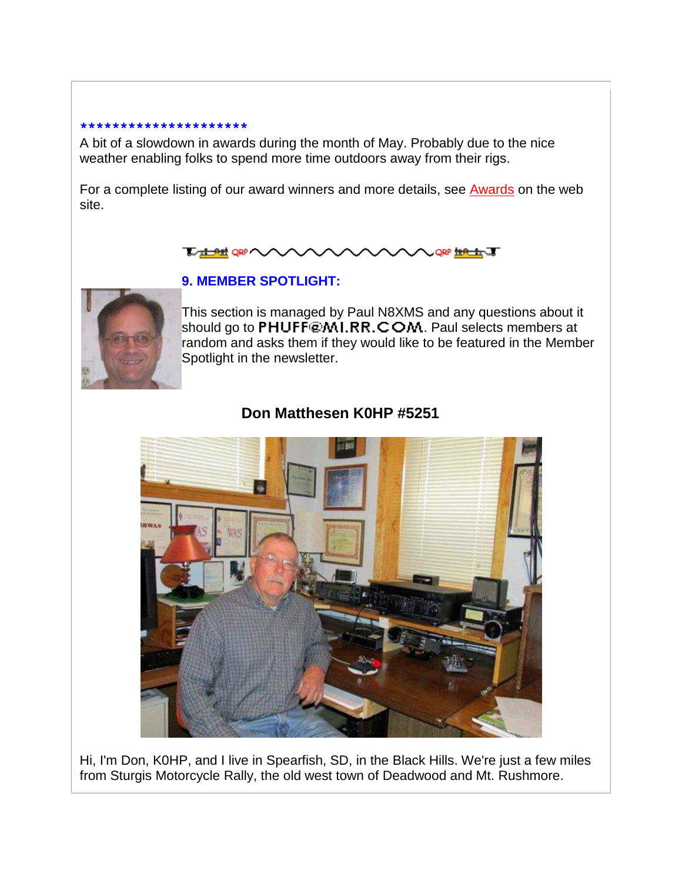#### **\*\*\*\*\*\*\*\*\*\*\*\*\*\*\*\*\*\*\*\*\***

A bit of a slowdown in awards during the month of May. Probably due to the nice weather enabling folks to spend more time outdoors away from their rigs.

For a complete listing of our award winners and more details, see [Awards](http://naqcc.info/awards.html) on the web site.





# **9. MEMBER SPOTLIGHT:**

This section is managed by Paul N8XMS and any questions about it should go to PHUFF@MI.RR.COM. Paul selects members at random and asks them if they would like to be featured in the Member Spotlight in the newsletter.

# **Don Matthesen K0HP #5251**



Hi, I'm Don, K0HP, and I live in Spearfish, SD, in the Black Hills. We're just a few miles from Sturgis Motorcycle Rally, the old west town of Deadwood and Mt. Rushmore.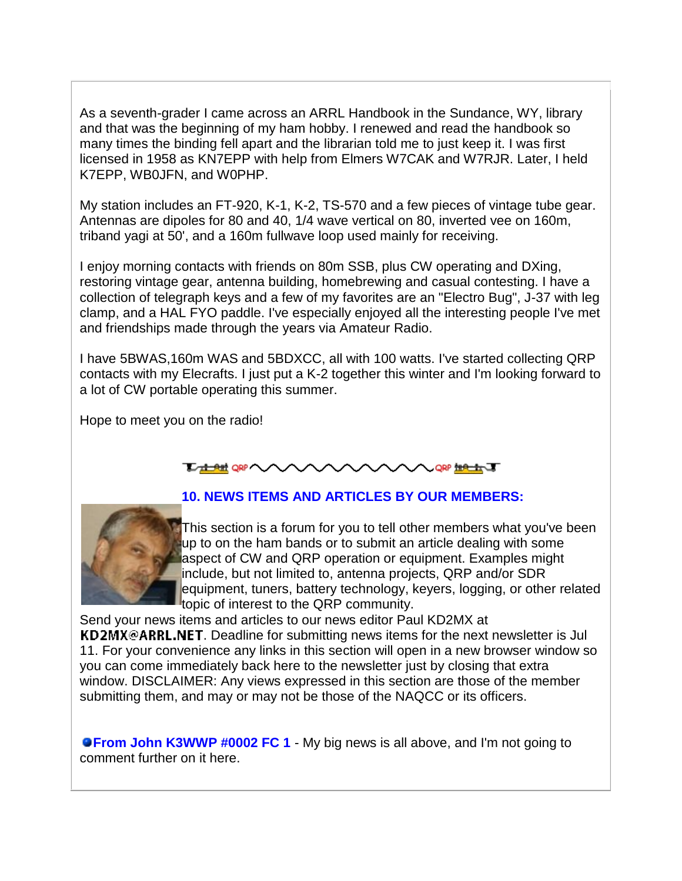As a seventh-grader I came across an ARRL Handbook in the Sundance, WY, library and that was the beginning of my ham hobby. I renewed and read the handbook so many times the binding fell apart and the librarian told me to just keep it. I was first licensed in 1958 as KN7EPP with help from Elmers W7CAK and W7RJR. Later, I held K7EPP, WB0JFN, and W0PHP.

My station includes an FT-920, K-1, K-2, TS-570 and a few pieces of vintage tube gear. Antennas are dipoles for 80 and 40, 1/4 wave vertical on 80, inverted vee on 160m, triband yagi at 50', and a 160m fullwave loop used mainly for receiving.

I enjoy morning contacts with friends on 80m SSB, plus CW operating and DXing, restoring vintage gear, antenna building, homebrewing and casual contesting. I have a collection of telegraph keys and a few of my favorites are an "Electro Bug", J-37 with leg clamp, and a HAL FYO paddle. I've especially enjoyed all the interesting people I've met and friendships made through the years via Amateur Radio.

I have 5BWAS,160m WAS and 5BDXCC, all with 100 watts. I've started collecting QRP contacts with my Elecrafts. I just put a K-2 together this winter and I'm looking forward to a lot of CW portable operating this summer.

Hope to meet you on the radio!

#### **LAMORAVA A QRP HALLET**

# **10. NEWS ITEMS AND ARTICLES BY OUR MEMBERS:**



This section is a forum for you to tell other members what you've been up to on the ham bands or to submit an article dealing with some aspect of CW and QRP operation or equipment. Examples might include, but not limited to, antenna projects, QRP and/or SDR equipment, tuners, battery technology, keyers, logging, or other related topic of interest to the QRP community.

Send your news items and articles to our news editor Paul KD2MX at KD2MX@ARRL.NET. Deadline for submitting news items for the next newsletter is Jul 11. For your convenience any links in this section will open in a new browser window so you can come immediately back here to the newsletter just by closing that extra window. DISCLAIMER: Any views expressed in this section are those of the member submitting them, and may or may not be those of the NAQCC or its officers.

**• From John K3WWP #0002 FC 1** - My big news is all above, and I'm not going to comment further on it here.